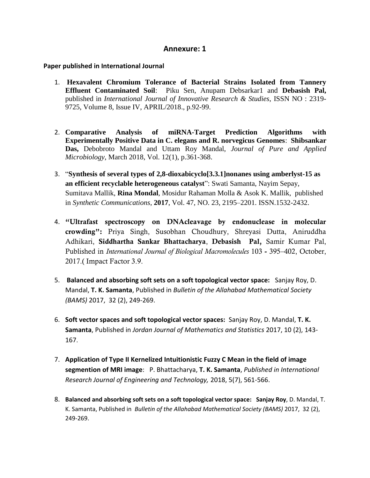# **Annexure: 1**

## **Paper published in International Journal**

- 1. **Hexavalent Chromium Tolerance of Bacterial Strains Isolated from Tannery Effluent Contaminated Soil**: Piku Sen, Anupam Debsarkar1 and **Debasish Pal,** published in *International Journal of Innovative Research & Studies*, ISSN NO : 2319- 9725, Volume 8, Issue IV, APRIL/2018., p.92-99.
- 2. **Comparative Analysis of miRNA-Target Prediction Algorithms with Experimentally Positive Data in C. elegans and R. norvegicus Genomes**: **Shibsankar Das,** Debobroto Mandal and Uttam Roy Mandal, *Journal of Pure and Applied Microbiology*, March 2018, Vol. 12(1), p.361-368.
- 3. "**Synthesis of several types of 2,8-dioxabicyclo[3.3.1]nonanes using amberlyst-15 as an efficient recyclable heterogeneous catalyst**": Swati Samanta, Nayim Sepay, Sumitava Mallik, **Rina Mondal**, Mosidur Rahaman Molla & Asok K. Mallik, published in *Synthetic Communications*, **2017**, Vol. 47, NO. 23, 2195–2201. ISSN.1532-2432.
- 4. "Ultrafast spectroscopy on DNAcleavage by endonuclease in molecular crowding": Priya Singh, Susobhan Choudhury, Shreyasi Dutta, Aniruddha Adhikari, Siddhartha Sankar Bhattacharya, Debasish Pal, Samir Kumar Pal, Published in *International Journal of Biological Macromolecules* 103 - 395–402, October, 2017.( Impact Factor 3.9.
- 5. **Balanced and absorbing soft sets on a soft topological vector space:** Sanjay Roy, D. Mandal, **T. K. Samanta**, Published in *Bulletin of the Allahabad Mathematical Society (BAMS)* 2017, 32 (2), 249-269.
- 6. **Soft vector spaces and soft topological vector spaces:** Sanjay Roy, D. Mandal, **T. K. Samanta**, Published in *Jordan Journal of Mathematics and Statistics* 2017, 10 (2), 143- 167.
- 7. **Application of Type II Kernelized Intuitionistic Fuzzy C Mean in the field of image segmention of MRI image**: P. Bhattacharya, **T. K. Samanta**, *Published in International Research Journal of Engineering and Technology,* 2018, 5(7), 561-566.
- 8. **Balanced and absorbing soft sets on a soft topological vector space: Sanjay Roy**, D. Mandal, T. K. Samanta, Published in *Bulletin of the Allahabad Mathematical Society (BAMS)* 2017, 32 (2), 249-269.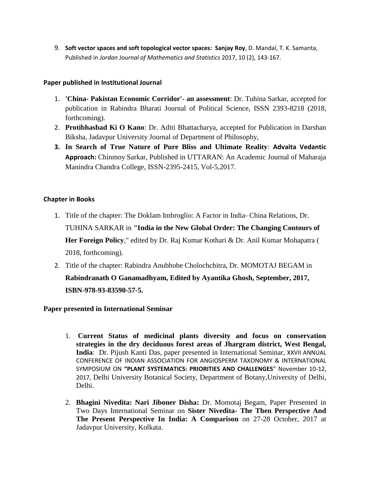9. **Soft vector spaces and soft topological vector spaces: Sanjay Roy**, D. Mandal, T. K. Samanta, Published in *Jordan Journal of Mathematics and Statistics* 2017, 10 (2), 143-167.

## **Paper published in Institutional Journal**

- 1. **'China- Pakistan Economic Corridor'- an assessment**: Dr. Tuhina Sarkar, accepted for publication in Rabindra Bharati Journal of Political Science, ISSN 2393-8218 (2018, forthcoming).
- 2. **Protibhasbad Ki O Kano**: Dr. Aditi Bhattacharya, accepted for Publication in Darshan Biksha, Jadavpur University Journal of Department of Philosophy,
- **3. In Search of True Nature of Pure Bliss and Ultimate Reality**: **Advaita Vedantic Approach:** Chinmoy Sarkar, Published in UTTARAN: An Academic Journal of Maharaja Manindra Chandra College, ISSN-2395-2415, Vol-5,2017.

## **Chapter in Books**

- 1. Title of the chapter: The Doklam Imbroglio: A Factor in India- China Relations, Dr. TUHINA SARKAR in **"India in the New Global Order: The Changing Contours of Her Foreign Policy**," edited by Dr. Raj Kumar Kothari & Dr. Anil Kumar Mohapatra ( 2018, forthcoming).
- 2. Title of the chapter: Rabindra Anubhobe Cholochchitra, Dr. MOMOTAJ BEGAM in **Rabindranath O Ganamadhyam, Edited by Ayantika Ghosh, September, 2017, ISBN-978-93-83590-57-5.**

# **Paper presented in International Seminar**

- 1. **Current Status of medicinal plants diversity and focus on conservation strategies in the dry deciduous forest areas of Jhargram district, West Bengal, India**: Dr. Pijush Kanti Das, paper presented in International Seminar, XXVII ANNUAL CONFERENCE OF INDIAN ASSOCIATION FOR ANGIOSPERM TAXONOMY & INTERNATIONAL SYMPOSIUM ON **"PLANT SYSTEMATICS: PRIORITIES AND CHALLENGES**" November 10-12, 2017, Delhi University Botanical Society, Department of Botany,University of Delhi, Delhi.
- 2. **Bhagini Nivedita: Nari Jiboner Disha:** Dr. Momotaj Begam, Paper Presented in Two Days International Seminar on **Sister Nivedita- The Then Perspective And The Present Perspective In India: A Comparison** on 27-28 October, 2017 at Jadavpur University, Kolkata.